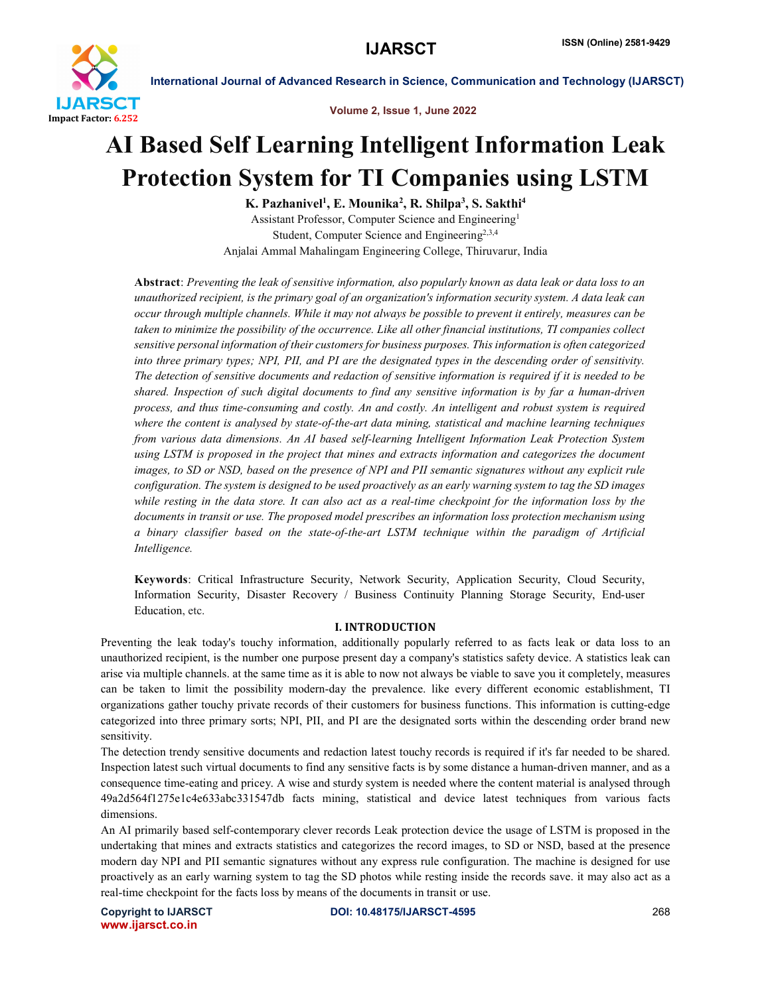

Volume 2, Issue 1, June 2022

# AI Based Self Learning Intelligent Information Leak Protection System for TI Companies using LSTM

K. Pazhanivel<sup>1</sup>, E. Mounika<sup>2</sup>, R. Shilpa<sup>3</sup>, S. Sakthi<sup>4</sup> Assistant Professor, Computer Science and Engineering1 Student, Computer Science and Engineering<sup>2,3,4</sup> Anjalai Ammal Mahalingam Engineering College, Thiruvarur, India

Abstract: *Preventing the leak of sensitive information, also popularly known as data leak or data loss to an unauthorized recipient, is the primary goal of an organization's information security system. A data leak can occur through multiple channels. While it may not always be possible to prevent it entirely, measures can be taken to minimize the possibility of the occurrence. Like all other financial institutions, TI companies collect sensitive personal information of their customers for business purposes. This information is often categorized into three primary types; NPI, PII, and PI are the designated types in the descending order of sensitivity. The detection of sensitive documents and redaction of sensitive information is required if it is needed to be shared. Inspection of such digital documents to find any sensitive information is by far a human-driven process, and thus time-consuming and costly. An and costly. An intelligent and robust system is required where the content is analysed by state-of-the-art data mining, statistical and machine learning techniques from various data dimensions. An AI based self-learning Intelligent Information Leak Protection System using LSTM is proposed in the project that mines and extracts information and categorizes the document images, to SD or NSD, based on the presence of NPI and PII semantic signatures without any explicit rule configuration. The system is designed to be used proactively as an early warning system to tag the SD images while resting in the data store. It can also act as a real-time checkpoint for the information loss by the documents in transit or use. The proposed model prescribes an information loss protection mechanism using a binary classifier based on the state-of-the-art LSTM technique within the paradigm of Artificial Intelligence.*

Keywords: Critical Infrastructure Security, Network Security, Application Security, Cloud Security, Information Security, Disaster Recovery / Business Continuity Planning Storage Security, End-user Education, etc.

# I. INTRODUCTION

Preventing the leak today's touchy information, additionally popularly referred to as facts leak or data loss to an unauthorized recipient, is the number one purpose present day a company's statistics safety device. A statistics leak can arise via multiple channels. at the same time as it is able to now not always be viable to save you it completely, measures can be taken to limit the possibility modern-day the prevalence. like every different economic establishment, TI organizations gather touchy private records of their customers for business functions. This information is cutting-edge categorized into three primary sorts; NPI, PII, and PI are the designated sorts within the descending order brand new sensitivity.

The detection trendy sensitive documents and redaction latest touchy records is required if it's far needed to be shared. Inspection latest such virtual documents to find any sensitive facts is by some distance a human-driven manner, and as a consequence time-eating and pricey. A wise and sturdy system is needed where the content material is analysed through 49a2d564f1275e1c4e633abc331547db facts mining, statistical and device latest techniques from various facts dimensions.

An AI primarily based self-contemporary clever records Leak protection device the usage of LSTM is proposed in the undertaking that mines and extracts statistics and categorizes the record images, to SD or NSD, based at the presence modern day NPI and PII semantic signatures without any express rule configuration. The machine is designed for use proactively as an early warning system to tag the SD photos while resting inside the records save. it may also act as a real-time checkpoint for the facts loss by means of the documents in transit or use.

www.ijarsct.co.in

Copyright to IJARSCT **DOI: 10.48175/IJARSCT-4595** 268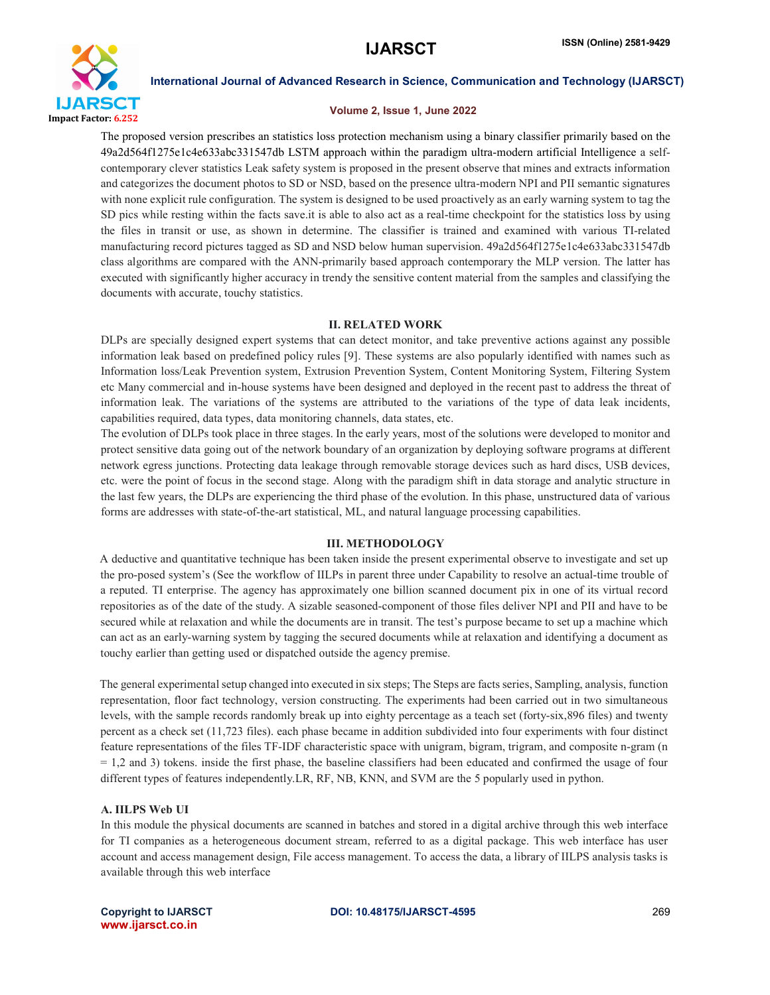

#### Volume 2, Issue 1, June 2022

The proposed version prescribes an statistics loss protection mechanism using a binary classifier primarily based on the 49a2d564f1275e1c4e633abc331547db LSTM approach within the paradigm ultra-modern artificial Intelligence a selfcontemporary clever statistics Leak safety system is proposed in the present observe that mines and extracts information and categorizes the document photos to SD or NSD, based on the presence ultra-modern NPI and PII semantic signatures with none explicit rule configuration. The system is designed to be used proactively as an early warning system to tag the SD pics while resting within the facts save.it is able to also act as a real-time checkpoint for the statistics loss by using the files in transit or use, as shown in determine. The classifier is trained and examined with various TI-related manufacturing record pictures tagged as SD and NSD below human supervision. 49a2d564f1275e1c4e633abc331547db class algorithms are compared with the ANN-primarily based approach contemporary the MLP version. The latter has executed with significantly higher accuracy in trendy the sensitive content material from the samples and classifying the documents with accurate, touchy statistics.

#### II. RELATED WORK

DLPs are specially designed expert systems that can detect monitor, and take preventive actions against any possible information leak based on predefined policy rules [9]. These systems are also popularly identified with names such as Information loss/Leak Prevention system, Extrusion Prevention System, Content Monitoring System, Filtering System etc Many commercial and in-house systems have been designed and deployed in the recent past to address the threat of information leak. The variations of the systems are attributed to the variations of the type of data leak incidents, capabilities required, data types, data monitoring channels, data states, etc.

The evolution of DLPs took place in three stages. In the early years, most of the solutions were developed to monitor and protect sensitive data going out of the network boundary of an organization by deploying software programs at different network egress junctions. Protecting data leakage through removable storage devices such as hard discs, USB devices, etc. were the point of focus in the second stage. Along with the paradigm shift in data storage and analytic structure in the last few years, the DLPs are experiencing the third phase of the evolution. In this phase, unstructured data of various forms are addresses with state-of-the-art statistical, ML, and natural language processing capabilities.

#### III. METHODOLOGY

A deductive and quantitative technique has been taken inside the present experimental observe to investigate and set up the pro-posed system's (See the workflow of IILPs in parent three under Capability to resolve an actual-time trouble of a reputed. TI enterprise. The agency has approximately one billion scanned document pix in one of its virtual record repositories as of the date of the study. A sizable seasoned-component of those files deliver NPI and PII and have to be secured while at relaxation and while the documents are in transit. The test's purpose became to set up a machine which can act as an early-warning system by tagging the secured documents while at relaxation and identifying a document as touchy earlier than getting used or dispatched outside the agency premise.

The general experimental setup changed into executed in six steps; The Steps are facts series, Sampling, analysis, function representation, floor fact technology, version constructing. The experiments had been carried out in two simultaneous levels, with the sample records randomly break up into eighty percentage as a teach set (forty-six,896 files) and twenty percent as a check set (11,723 files). each phase became in addition subdivided into four experiments with four distinct feature representations of the files TF-IDF characteristic space with unigram, bigram, trigram, and composite n-gram (n  $= 1.2$  and 3) tokens, inside the first phase, the baseline classifiers had been educated and confirmed the usage of four different types of features independently.LR, RF, NB, KNN, and SVM are the 5 popularly used in python.

#### A. IILPS Web UI

In this module the physical documents are scanned in batches and stored in a digital archive through this web interface for TI companies as a heterogeneous document stream, referred to as a digital package. This web interface has user account and access management design, File access management. To access the data, a library of IILPS analysis tasks is available through this web interface

www.ijarsct.co.in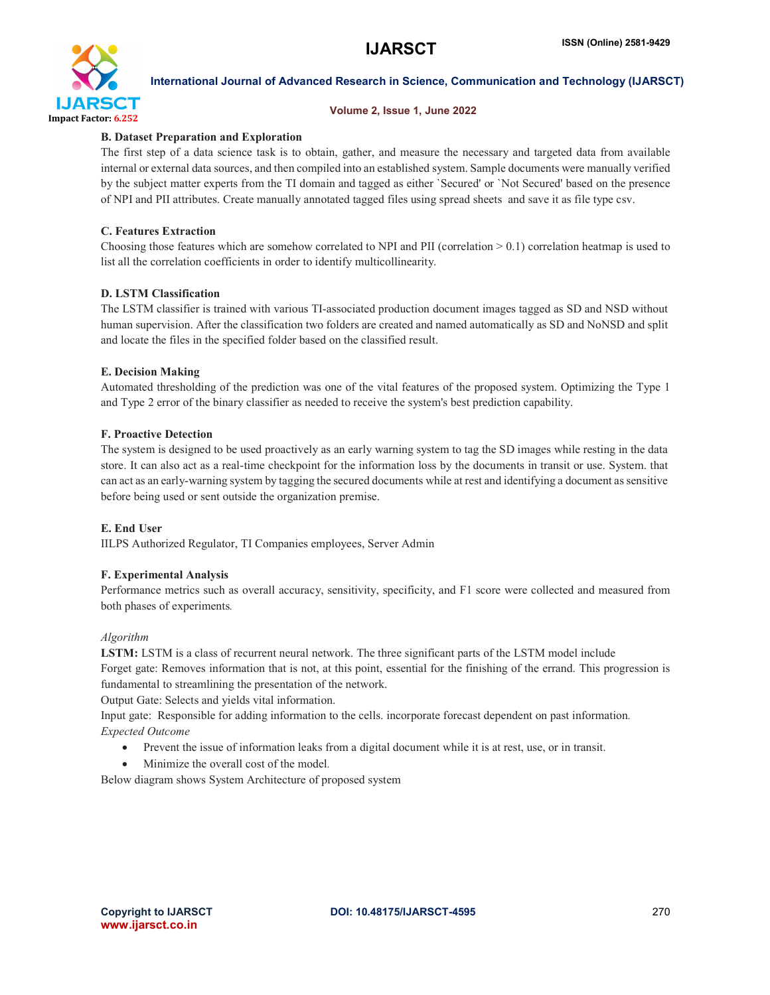

#### Volume 2, Issue 1, June 2022

## B. Dataset Preparation and Exploration

The first step of a data science task is to obtain, gather, and measure the necessary and targeted data from available internal or external data sources, and then compiled into an established system. Sample documents were manually verified by the subject matter experts from the TI domain and tagged as either `Secured' or `Not Secured' based on the presence of NPI and PII attributes. Create manually annotated tagged files using spread sheets and save it as file type csv.

## C. Features Extraction

Choosing those features which are somehow correlated to NPI and PII (correlation  $> 0.1$ ) correlation heatmap is used to list all the correlation coefficients in order to identify multicollinearity.

### D. LSTM Classification

The LSTM classifier is trained with various TI-associated production document images tagged as SD and NSD without human supervision. After the classification two folders are created and named automatically as SD and NoNSD and split and locate the files in the specified folder based on the classified result.

### E. Decision Making

Automated thresholding of the prediction was one of the vital features of the proposed system. Optimizing the Type 1 and Type 2 error of the binary classifier as needed to receive the system's best prediction capability.

### F. Proactive Detection

The system is designed to be used proactively as an early warning system to tag the SD images while resting in the data store. It can also act as a real-time checkpoint for the information loss by the documents in transit or use. System. that can act as an early-warning system by tagging the secured documents while at rest and identifying a document as sensitive before being used or sent outside the organization premise.

#### E. End User

IILPS Authorized Regulator, TI Companies employees, Server Admin

# F. Experimental Analysis

Performance metrics such as overall accuracy, sensitivity, specificity, and F1 score were collected and measured from both phases of experiments*.*

#### *Algorithm*

LSTM: LSTM is a class of recurrent neural network. The three significant parts of the LSTM model include Forget gate: Removes information that is not, at this point, essential for the finishing of the errand. This progression is fundamental to streamlining the presentation of the network.

Output Gate: Selects and yields vital information.

Input gate: Responsible for adding information to the cells. incorporate forecast dependent on past information*. Expected Outcome*

- Prevent the issue of information leaks from a digital document while it is at rest, use, or in transit.
- Minimize the overall cost of the model*.*

Below diagram shows System Architecture of proposed system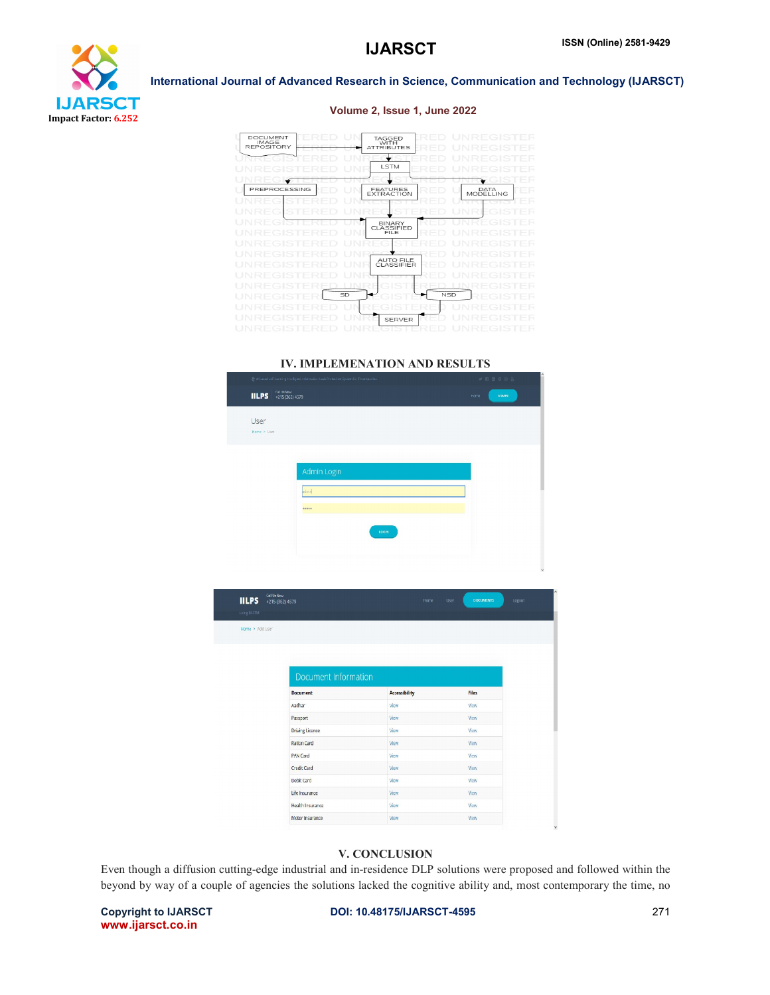

### Volume 2, Issue 1, June 2022



#### IV. IMPLEMENATION AND RESULTS

| . @ enclosed self-learning hostigent information base motection opstem for 11 companies |                                                |      | .            |  |  |
|-----------------------------------------------------------------------------------------|------------------------------------------------|------|--------------|--|--|
|                                                                                         | Call IIR Now<br><b>IILPS</b> +215 (362) 4579   | Home | <b>ADMIN</b> |  |  |
| User<br>Home > User                                                                     |                                                |      |              |  |  |
|                                                                                         | Admin Login<br>admir <sup>1</sup><br><br>LOGIN |      |              |  |  |
|                                                                                         |                                                |      |              |  |  |

| <b>IILPS</b>    | Call Us New<br>+215 (362) 4579 | Home                 | User | <b>DOCUMENTS</b> | Logout |
|-----------------|--------------------------------|----------------------|------|------------------|--------|
| using BLSTM     |                                |                      |      |                  |        |
| Home > Add User |                                |                      |      |                  |        |
|                 |                                |                      |      |                  |        |
|                 |                                |                      |      |                  |        |
|                 |                                |                      |      |                  |        |
|                 | Document Information           |                      |      |                  |        |
|                 | <b>Document</b>                | <b>Accessibility</b> |      | <b>Files</b>     |        |
|                 | Aadhar                         | View                 |      | View             |        |
|                 | Passport                       | <b>View</b>          |      | View             |        |
|                 | <b>Driving Licence</b>         | View                 |      | View             |        |
|                 | <b>Ration Card</b>             | View                 |      | View             |        |
|                 | <b>PAN Card</b>                | View                 |      | View             |        |
|                 | Credit Card                    | View                 |      | View             |        |
|                 | Debit Card                     | View                 |      | View             |        |
|                 | Life Insurance                 | View                 |      | View             |        |
|                 | Health Insurance               | View                 |      | View             |        |
|                 | Motor Insurance                | <b>View</b>          |      | View             |        |

#### V. CONCLUSION

Even though a diffusion cutting-edge industrial and in-residence DLP solutions were proposed and followed within the beyond by way of a couple of agencies the solutions lacked the cognitive ability and, most contemporary the time, no

www.ijarsct.co.in

Copyright to IJARSCT **DOI: 10.48175/IJARSCT-4595** 271